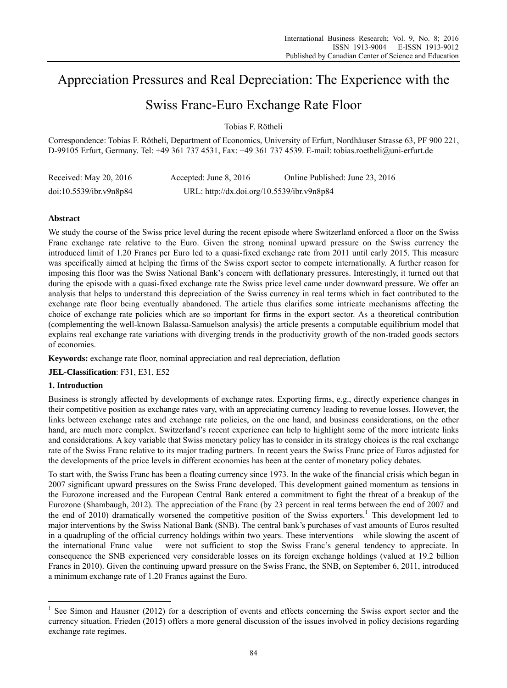# Appreciation Pressures and Real Depreciation: The Experience with the

## Swiss Franc-Euro Exchange Rate Floor

Tobias F. Rötheli

Correspondence: Tobias F. Rötheli, Department of Economics, University of Erfurt, Nordhäuser Strasse 63, PF 900 221, D-99105 Erfurt, Germany. Tel: +49 361 737 4531, Fax: +49 361 737 4539. E-mail: tobias.roetheli@uni-erfurt.de

| Received: May 20, 2016  | Accepted: June $8, 2016$                   | Online Published: June 23, 2016 |
|-------------------------|--------------------------------------------|---------------------------------|
| doi:10.5539/ibr.v9n8p84 | URL: http://dx.doi.org/10.5539/ibr.v9n8p84 |                                 |

## **Abstract**

We study the course of the Swiss price level during the recent episode where Switzerland enforced a floor on the Swiss Franc exchange rate relative to the Euro. Given the strong nominal upward pressure on the Swiss currency the introduced limit of 1.20 Francs per Euro led to a quasi-fixed exchange rate from 2011 until early 2015. This measure was specifically aimed at helping the firms of the Swiss export sector to compete internationally. A further reason for imposing this floor was the Swiss National Bank's concern with deflationary pressures. Interestingly, it turned out that during the episode with a quasi-fixed exchange rate the Swiss price level came under downward pressure. We offer an analysis that helps to understand this depreciation of the Swiss currency in real terms which in fact contributed to the exchange rate floor being eventually abandoned. The article thus clarifies some intricate mechanisms affecting the choice of exchange rate policies which are so important for firms in the export sector. As a theoretical contribution (complementing the well-known Balassa-Samuelson analysis) the article presents a computable equilibrium model that explains real exchange rate variations with diverging trends in the productivity growth of the non-traded goods sectors of economies.

**Keywords:** exchange rate floor, nominal appreciation and real depreciation, deflation

**JEL-Classification**: F31, E31, E52

## **1. Introduction**

Business is strongly affected by developments of exchange rates. Exporting firms, e.g., directly experience changes in their competitive position as exchange rates vary, with an appreciating currency leading to revenue losses. However, the links between exchange rates and exchange rate policies, on the one hand, and business considerations, on the other hand, are much more complex. Switzerland's recent experience can help to highlight some of the more intricate links and considerations. A key variable that Swiss monetary policy has to consider in its strategy choices is the real exchange rate of the Swiss Franc relative to its major trading partners. In recent years the Swiss Franc price of Euros adjusted for the developments of the price levels in different economies has been at the center of monetary policy debates.

To start with, the Swiss Franc has been a floating currency since 1973. In the wake of the financial crisis which began in 2007 significant upward pressures on the Swiss Franc developed. This development gained momentum as tensions in the Eurozone increased and the European Central Bank entered a commitment to fight the threat of a breakup of the Eurozone (Shambaugh, 2012). The appreciation of the Franc (by 23 percent in real terms between the end of 2007 and the end of 2010) dramatically worsened the competitive position of the Swiss exporters.<sup>1</sup> This development led to major interventions by the Swiss National Bank (SNB). The central bank's purchases of vast amounts of Euros resulted in a quadrupling of the official currency holdings within two years. These interventions – while slowing the ascent of the international Franc value – were not sufficient to stop the Swiss Franc's general tendency to appreciate. In consequence the SNB experienced very considerable losses on its foreign exchange holdings (valued at 19.2 billion Francs in 2010). Given the continuing upward pressure on the Swiss Franc, the SNB, on September 6, 2011, introduced a minimum exchange rate of 1.20 Francs against the Euro.

<sup>&</sup>lt;sup>1</sup> See Simon and Hausner (2012) for a description of events and effects concerning the Swiss export sector and the currency situation. Frieden (2015) offers a more general discussion of the issues involved in policy decisions regarding exchange rate regimes.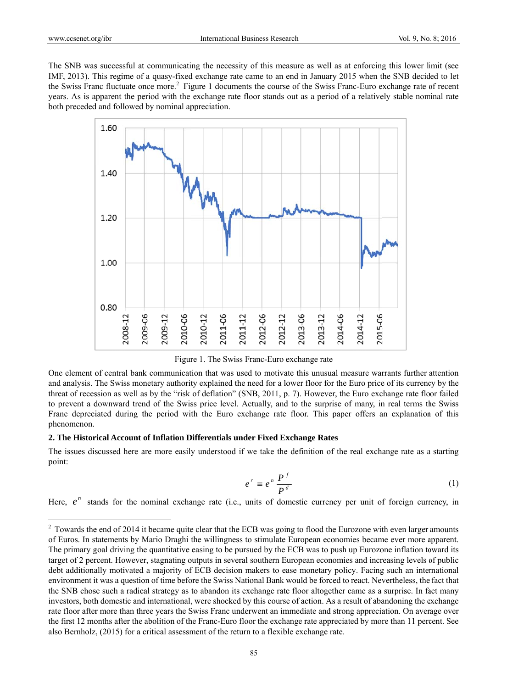The SNB was successful at communicating the necessity of this measure as well as at enforcing this lower limit (see IMF, 2013). This regime of a quasy-fixed exchange rate came to an end in January 2015 when the SNB decided to let the Swiss Franc fluctuate once more.<sup>2</sup> Figure 1 documents the course of the Swiss Franc-Euro exchange rate of recent years. As is apparent the period with the exchange rate floor stands out as a period of a relatively stable nominal rate both preceded and followed by nominal appreciation.



Figure 1. The Swiss Franc-Euro exchange rate

One element of central bank communication that was used to motivate this unusual measure warrants further attention and analysis. The Swiss monetary authority explained the need for a lower floor for the Euro price of its currency by the threat of recession as well as by the "risk of deflation" (SNB, 2011, p. 7). However, the Euro exchange rate floor failed to prevent a downward trend of the Swiss price level. Actually, and to the surprise of many, in real terms the Swiss Franc depreciated during the period with the Euro exchange rate floor. This paper offers an explanation of this phenomenon.

#### 2. The Historical Account of Inflation Differentials under Fixed Exchange Rates

The issues discussed here are more easily understood if we take the definition of the real exchange rate as a starting point:

$$
e^r \equiv e^n \frac{P^f}{P^d} \tag{1}
$$

Here,  $e^{n}$  stands for the nominal exchange rate (i.e., units of domestic currency per unit of foreign currency, in

<sup>&</sup>lt;sup>2</sup> Towards the end of 2014 it became quite clear that the ECB was going to flood the Eurozone with even larger amounts of Euros. In statements by Mario Draghi the willingness to stimulate European economies became ever more apparent. The primary goal driving the quantitative easing to be pursued by the ECB was to push up Eurozone inflation toward its target of 2 percent. However, stagnating outputs in several southern European economies and increasing levels of public debt additionally motivated a majority of ECB decision makers to ease monetary policy. Facing such an international environment it was a question of time before the Swiss National Bank would be forced to react. Nevertheless, the fact that the SNB chose such a radical strategy as to abandon its exchange rate floor altogether came as a surprise. In fact many investors, both domestic and international, were shocked by this course of action. As a result of abandoning the exchange rate floor after more than three years the Swiss Franc underwent an immediate and strong appreciation. On average over the first 12 months after the abolition of the Franc-Euro floor the exchange rate appreciated by more than 11 percent. See also Bernholz, (2015) for a critical assessment of the return to a flexible exchange rate.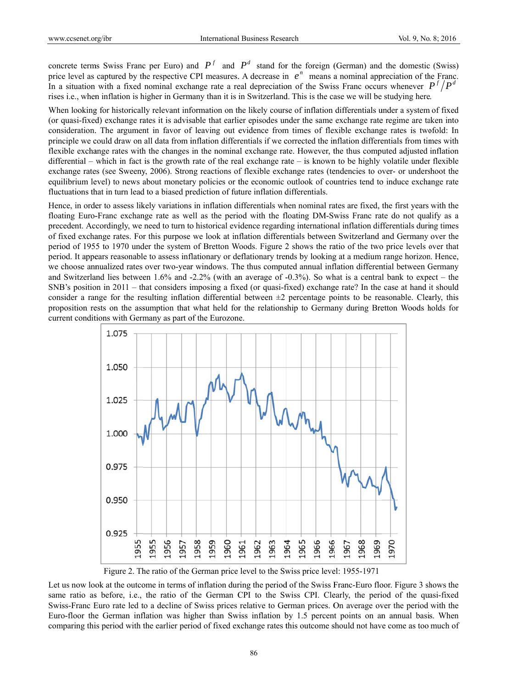concrete terms Swiss Franc per Euro) and  $P<sup>f</sup>$  and  $P<sup>d</sup>$  stand for the foreign (German) and the domestic (Swiss) price level as captured by the respective CPI measures. A decrease in  $e^n$  means a nominal appreciation of the Franc. In a situation with a fixed nominal exchange rate a real depreciation of the Swiss Franc occurs whenever  $P^f / P^d$ rises i.e., when inflation is higher in Germany than it is in Switzerland. This is the case we will be studying here.

When looking for historically relevant information on the likely course of inflation differentials under a system of fixed (or quasi-fixed) exchange rates it is advisable that earlier episodes under the same exchange rate regime are taken into consideration. The argument in favor of leaving out evidence from times of flexible exchange rates is twofold: In principle we could draw on all data from inflation differentials if we corrected the inflation differentials from times with flexible exchange rates with the changes in the nominal exchange rate. However, the thus computed adjusted inflation differential – which in fact is the growth rate of the real exchange rate – is known to be highly volatile under flexible exchange rates (see Sweeny, 2006). Strong reactions of flexible exchange rates (tendencies to over- or undershoot the equilibrium level) to news about monetary policies or the economic outlook of countries tend to induce exchange rate fluctuations that in turn lead to a biased prediction of future inflation differentials.

Hence, in order to assess likely variations in inflation differentials when nominal rates are fixed, the first years with the floating Euro-Franc exchange rate as well as the period with the floating DM-Swiss Franc rate do not qualify as a precedent. Accordingly, we need to turn to historical evidence regarding international inflation differentials during times of fixed exchange rates. For this purpose we look at inflation differentials between Switzerland and Germany over the period of 1955 to 1970 under the system of Bretton Woods. Figure 2 shows the ratio of the two price levels over that period. It appears reasonable to assess inflationary or deflationary trends by looking at a medium range horizon. Hence, we choose annualized rates over two-year windows. The thus computed annual inflation differential between Germany and Switzerland lies between  $1.6\%$  and  $-2.2\%$  (with an average of  $-0.3\%$ ). So what is a central bank to expect – the SNB's position in 2011 – that considers imposing a fixed (or quasi-fixed) exchange rate? In the case at hand it should consider a range for the resulting inflation differential between  $\pm 2$  percentage points to be reasonable. Clearly, this proposition rests on the assumption that what held for the relationship to Germany during Bretton Woods holds for current conditions with Germany as part of the Eurozone.



Figure 2. The ratio of the German price level to the Swiss price level: 1955-1971

Let us now look at the outcome in terms of inflation during the period of the Swiss Franc-Euro floor. Figure 3 shows the same ratio as before, i.e., the ratio of the German CPI to the Swiss CPI. Clearly, the period of the quasi-fixed Swiss-Franc Euro rate led to a decline of Swiss prices relative to German prices. On average over the period with the Euro-floor the German inflation was higher than Swiss inflation by 1.5 percent points on an annual basis. When comparing this period with the earlier period of fixed exchange rates this outcome should not have come as too much of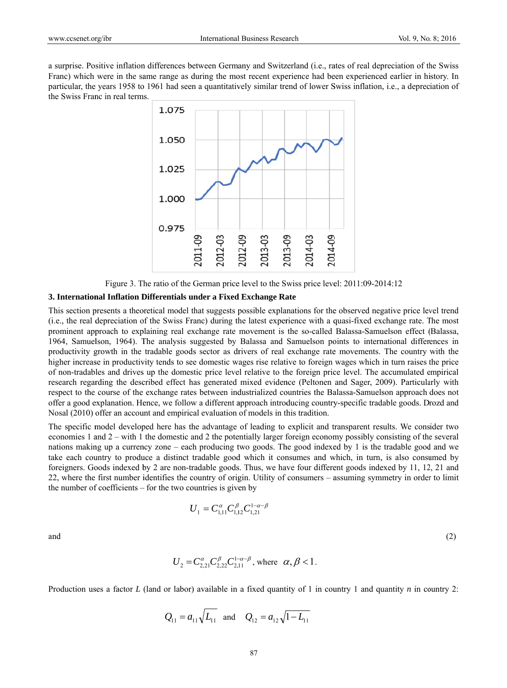$(2)$ 

a surprise. Positive inflation differences between Germany and Switzerland (i.e., rates of real depreciation of the Swiss Franc) which were in the same range as during the most recent experience had been experienced earlier in history. In particular, the years 1958 to 1961 had seen a quantitatively similar trend of lower Swiss inflation, i.e., a depreciation of the Swiss Franc in real terms.



Figure 3. The ratio of the German price level to the Swiss price level: 2011:09-2014:12

#### 3. International Inflation Differentials under a Fixed Exchange Rate

This section presents a theoretical model that suggests possible explanations for the observed negative price level trend (i.e., the real depreciation of the Swiss Franc) during the latest experience with a quasi-fixed exchange rate. The most prominent approach to explaining real exchange rate movement is the so-called Balassa-Samuelson effect (Balassa, 1964, Samuelson, 1964). The analysis suggested by Balassa and Samuelson points to international differences in productivity growth in the tradable goods sector as drivers of real exchange rate movements. The country with the higher increase in productivity tends to see domestic wages rise relative to foreign wages which in turn raises the price of non-tradables and drives up the domestic price level relative to the foreign price level. The accumulated empirical research regarding the described effect has generated mixed evidence (Peltonen and Sager, 2009). Particularly with respect to the course of the exchange rates between industrialized countries the Balassa-Samuelson approach does not offer a good explanation. Hence, we follow a different approach introducing country-specific tradable goods. Drozd and Nosal (2010) offer an account and empirical evaluation of models in this tradition.

The specific model developed here has the advantage of leading to explicit and transparent results. We consider two economies 1 and  $2$  – with 1 the domestic and 2 the potentially larger foreign economy possibly consisting of the several nations making up a currency zone – each producing two goods. The good indexed by 1 is the tradable good and we take each country to produce a distinct tradable good which it consumes and which, in turn, is also consumed by foreigners. Goods indexed by 2 are non-tradable goods. Thus, we have four different goods indexed by 11, 12, 21 and 22, where the first number identifies the country of origin. Utility of consumers – assuming symmetry in order to limit the number of coefficients – for the two countries is given by

$$
U_1 = C_{1,11}^{\alpha} C_{1,12}^{\beta} C_{1,21}^{1-\alpha-\beta}
$$

and

$$
U_2 = C_{2,21}^{\alpha} C_{2,22}^{\beta} C_{2,11}^{1-\alpha-\beta}
$$
, where  $\alpha, \beta < 1$ .

Production uses a factor L (land or labor) available in a fixed quantity of 1 in country 1 and quantity n in country 2:

$$
Q_{11} = a_{11}\sqrt{L_{11}}
$$
 and  $Q_{12} = a_{12}\sqrt{1-L_{11}}$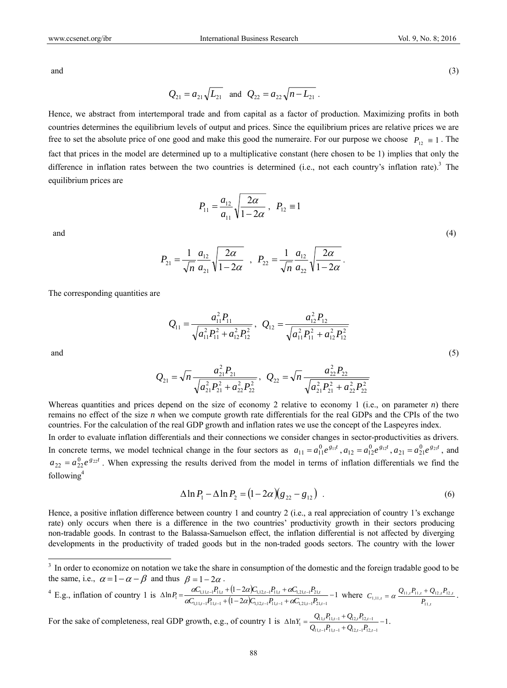$$
Q_{21} = a_{21}\sqrt{L_{21}}
$$
 and  $Q_{22} = a_{22}\sqrt{n-L_{21}}$ .

Hence, we abstract from intertemporal trade and from capital as a factor of production. Maximizing profits in both countries determines the equilibrium levels of output and prices. Since the equilibrium prices are relative prices we are free to set the absolute price of one good and make this good the numeraire. For our purpose we choose  $P_{12} \equiv 1$ . The fact that prices in the model are determined up to a multiplicative constant (here chosen to be 1) implies that only the difference in inflation rates between the two countries is determined (i.e., not each country's inflation rate).<sup>3</sup> The equilibrium prices are

$$
P_{11} = \frac{a_{12}}{a_{11}} \sqrt{\frac{2\alpha}{1 - 2\alpha}}, \quad P_{12} \equiv 1
$$
  
and (4)

α  $\alpha$  $1 - 2$ 1  $a_{12}$  | 2 21  $P_{21} = \frac{1}{\sqrt{n}} \frac{a_{12}}{a_{21}} \sqrt{\frac{2}{1 - a_{22}}}$ *n*  $P_{21} = \frac{1}{\sqrt{n}} \frac{a_{12}}{a_{21}} \sqrt{\frac{2\alpha}{1-2\alpha}}$ ,  $P_{22} = \frac{1}{\sqrt{n}} \frac{a_{12}}{a_{22}} \sqrt{\frac{2\alpha}{1-2\alpha}}$ α  $1 - 2$ 1  $a_{12}$  | 2 22  $P_{22} = \frac{1}{\sqrt{n}} \frac{a_{12}}{a_{22}} \sqrt{\frac{2}{1-x^2}}$ *n*  $P_{22} = \frac{1}{\sqrt{2}} \frac{a_{12}}{a_{12}} \sqrt{\frac{2a}{a_{12}}}$ .

The corresponding quantities are

$$
Q_{11} = \frac{a_{11}^2 P_{11}}{\sqrt{a_{11}^2 P_{11}^2 + a_{12}^2 P_{12}^2}}, \quad Q_{12} = \frac{a_{12}^2 P_{12}}{\sqrt{a_{11}^2 P_{11}^2 + a_{12}^2 P_{12}^2}}
$$
  
and

 $\overline{a}$ 

$$
Q_{21} = \sqrt{n} \frac{a_{21}^2 P_{21}}{\sqrt{a_{21}^2 P_{21}^2 + a_{22}^2 P_{22}^2}}, \quad Q_{22} = \sqrt{n} \frac{a_{22}^2 P_{22}}{\sqrt{a_{21}^2 P_{21}^2 + a_{22}^2 P_{22}^2}}
$$

Whereas quantities and prices depend on the size of economy 2 relative to economy 1 (i.e., on parameter  $n$ ) there remains no effect of the size *n* when we compute growth rate differentials for the real GDPs and the CPIs of the two countries. For the calculation of the real GDP growth and inflation rates we use the concept of the Laspeyres index.

In order to evaluate inflation differentials and their connections we consider changes in sector-productivities as drivers. In concrete terms, we model technical change in the four sectors as  $a_{11} = a_{11}^0 e^{g_{11}t}$ ,  $a_{12} = a_{12}^0 e^{g_{12}t}$ ,  $a_{21} = a_{21}^0 e^{g_{21}t}$ , and  $a_{22} = a_{22}^0 e^{g_{22}t}$ . When expressing the results derived from the model in terms of inflation differentials we find the following4

$$
\Delta \ln P_1 - \Delta \ln P_2 = (1 - 2\alpha)(g_{22} - g_{12}) \tag{6}
$$

Hence, a positive inflation difference between country 1 and country 2 (i.e., a real appreciation of country 1's exchange rate) only occurs when there is a difference in the two countries' productivity growth in their sectors producing non-tradable goods. In contrast to the Balassa-Samuelson effect, the inflation differential is not affected by diverging developments in the productivity of traded goods but in the non-traded goods sectors. The country with the lower

$$
^{4} \text{ E.g., inflation of country 1 is } \Delta \ln P_{1} = \frac{\alpha C_{1,11,t-1} P_{11,t} + (1 - 2\alpha) C_{1,12,t-1} P_{11,t} + \alpha C_{1,21,t-1} P_{21,t}}{\alpha C_{1,11,t-1} P_{11,t-1} + (1 - 2\alpha) C_{1,12,t-1} P_{11,t-1} + \alpha C_{1,21,t-1} P_{21,t-1}} - 1 \text{ where } C_{1,11,t} = \alpha \frac{Q_{11,t} P_{11,t} + Q_{12,t} P_{12,t}}{P_{11,t}}.
$$

For the sake of completeness, real GDP growth, e.g., of country 1 is  $\Delta \ln Y_1 = \frac{Q_{11,r^2+11,r-1} - Q_{12,r^2+12,r-1}}{r^2}$  $11_{,1}$  -1<sup>1</sup> 11,  $t$  -1<sup>-1</sup>  $\mathcal{L}_{12, t}$  -1<sup>1</sup> 12,  $t$  -1  $\Delta \ln Y_1 = \frac{Q_{11,r} P_{11,r-1} + Q_{12,r} P_{12,r-1}}{Q_{11,r-1} P_{11,r-1} + Q_{12,r-1} P_{12,r-1}} -1$  1,t -1  $\pm 2$  12,t -1 12,t - $-1$   $\mathbf{V}_{12,t}$   $\mathbf{I}_{12,t-}$  $t-1$  **t**  $11,t-1$   $\pm 2$   $12,t-1$   $\pm 12,t$  $t^{\mathcal{I}}$  11, $t-1$   $\mathcal{L}$   $\mathcal{L}_{12,t}$   $\mathcal{L}_{12,t}$  $Q_{11}, P_{11}, P_{22}, P_{12}$  $Y_1 = \frac{Q_{11,t}P_{11,t-1} + Q_{12,t}P_{12,t-1}}{P_{12,t-1}} - 1$ .

and  $(3)$ 

 $3 \text{ In order to economic on notation we take the share in consumption of the domestic and the foreign tradable good to be }$ the same, i.e.,  $\alpha = 1 - \alpha - \beta$  and thus  $\beta = 1 - 2\alpha$ .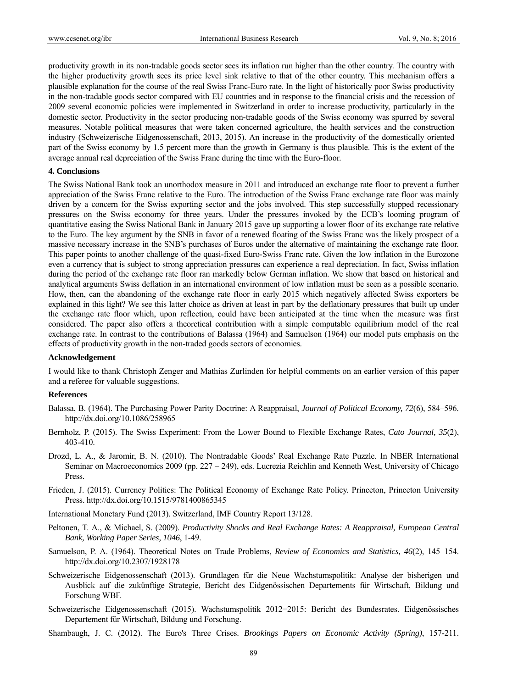productivity growth in its non-tradable goods sector sees its inflation run higher than the other country. The country with the higher productivity growth sees its price level sink relative to that of the other country. This mechanism offers a plausible explanation for the course of the real Swiss Franc-Euro rate. In the light of historically poor Swiss productivity in the non-tradable goods sector compared with EU countries and in response to the financial crisis and the recession of 2009 several economic policies were implemented in Switzerland in order to increase productivity, particularly in the domestic sector. Productivity in the sector producing non-tradable goods of the Swiss economy was spurred by several measures. Notable political measures that were taken concerned agriculture, the health services and the construction industry (Schweizerische Eidgenossenschaft, 2013, 2015). An increase in the productivity of the domestically oriented part of the Swiss economy by 1.5 percent more than the growth in Germany is thus plausible. This is the extent of the average annual real depreciation of the Swiss Franc during the time with the Euro-floor.

#### **4. Conclusions**

The Swiss National Bank took an unorthodox measure in 2011 and introduced an exchange rate floor to prevent a further appreciation of the Swiss Franc relative to the Euro. The introduction of the Swiss Franc exchange rate floor was mainly driven by a concern for the Swiss exporting sector and the jobs involved. This step successfully stopped recessionary pressures on the Swiss economy for three years. Under the pressures invoked by the ECB's looming program of quantitative easing the Swiss National Bank in January 2015 gave up supporting a lower floor of its exchange rate relative to the Euro. The key argument by the SNB in favor of a renewed floating of the Swiss Franc was the likely prospect of a massive necessary increase in the SNB's purchases of Euros under the alternative of maintaining the exchange rate floor. This paper points to another challenge of the quasi-fixed Euro-Swiss Franc rate. Given the low inflation in the Eurozone even a currency that is subject to strong appreciation pressures can experience a real depreciation. In fact, Swiss inflation during the period of the exchange rate floor ran markedly below German inflation. We show that based on historical and analytical arguments Swiss deflation in an international environment of low inflation must be seen as a possible scenario. How, then, can the abandoning of the exchange rate floor in early 2015 which negatively affected Swiss exporters be explained in this light? We see this latter choice as driven at least in part by the deflationary pressures that built up under the exchange rate floor which, upon reflection, could have been anticipated at the time when the measure was first considered. The paper also offers a theoretical contribution with a simple computable equilibrium model of the real exchange rate. In contrast to the contributions of Balassa (1964) and Samuelson (1964) our model puts emphasis on the effects of productivity growth in the non-traded goods sectors of economies.

#### **Acknowledgement**

I would like to thank Christoph Zenger and Mathias Zurlinden for helpful comments on an earlier version of this paper and a referee for valuable suggestions.

#### **References**

- Balassa, B. (1964). The Purchasing Power Parity Doctrine: A Reappraisal, *Journal of Political Economy, 72*(6), 584–596. http://dx.doi.org/10.1086/258965
- Bernholz, P. (2015). The Swiss Experiment: From the Lower Bound to Flexible Exchange Rates, *Cato Journal, 35*(2), 403-410.
- Drozd, L. A., & Jaromir, B. N. (2010). The Nontradable Goods' Real Exchange Rate Puzzle. In NBER International Seminar on Macroeconomics 2009 (pp. 227 – 249), eds. Lucrezia Reichlin and Kenneth West, University of Chicago Press.
- Frieden, J. (2015). Currency Politics: The Political Economy of Exchange Rate Policy. Princeton, Princeton University Press. http://dx.doi.org/10.1515/9781400865345
- International Monetary Fund (2013). Switzerland, IMF Country Report 13/128.
- Peltonen, T. A., & Michael, S. (2009). *Productivity Shocks and Real Exchange Rates: A Reappraisal, European Central Bank, Working Paper Series, 1046*, 1-49.
- Samuelson, P. A. (1964). Theoretical Notes on Trade Problems, *Review of Economics and Statistics, 46*(2), 145–154. http://dx.doi.org/10.2307/1928178
- Schweizerische Eidgenossenschaft (2013). Grundlagen für die Neue Wachstumspolitik: Analyse der bisherigen und Ausblick auf die zukünftige Strategie, Bericht des Eidgenössischen Departements für Wirtschaft, Bildung und Forschung WBF.
- Schweizerische Eidgenossenschaft (2015). Wachstumspolitik 2012−2015: Bericht des Bundesrates. Eidgenössisches Departement für Wirtschaft, Bildung und Forschung.
- Shambaugh, J. C. (2012). The Euro's Three Crises. *Brookings Papers on Economic Activity (Spring)*, 157-211.